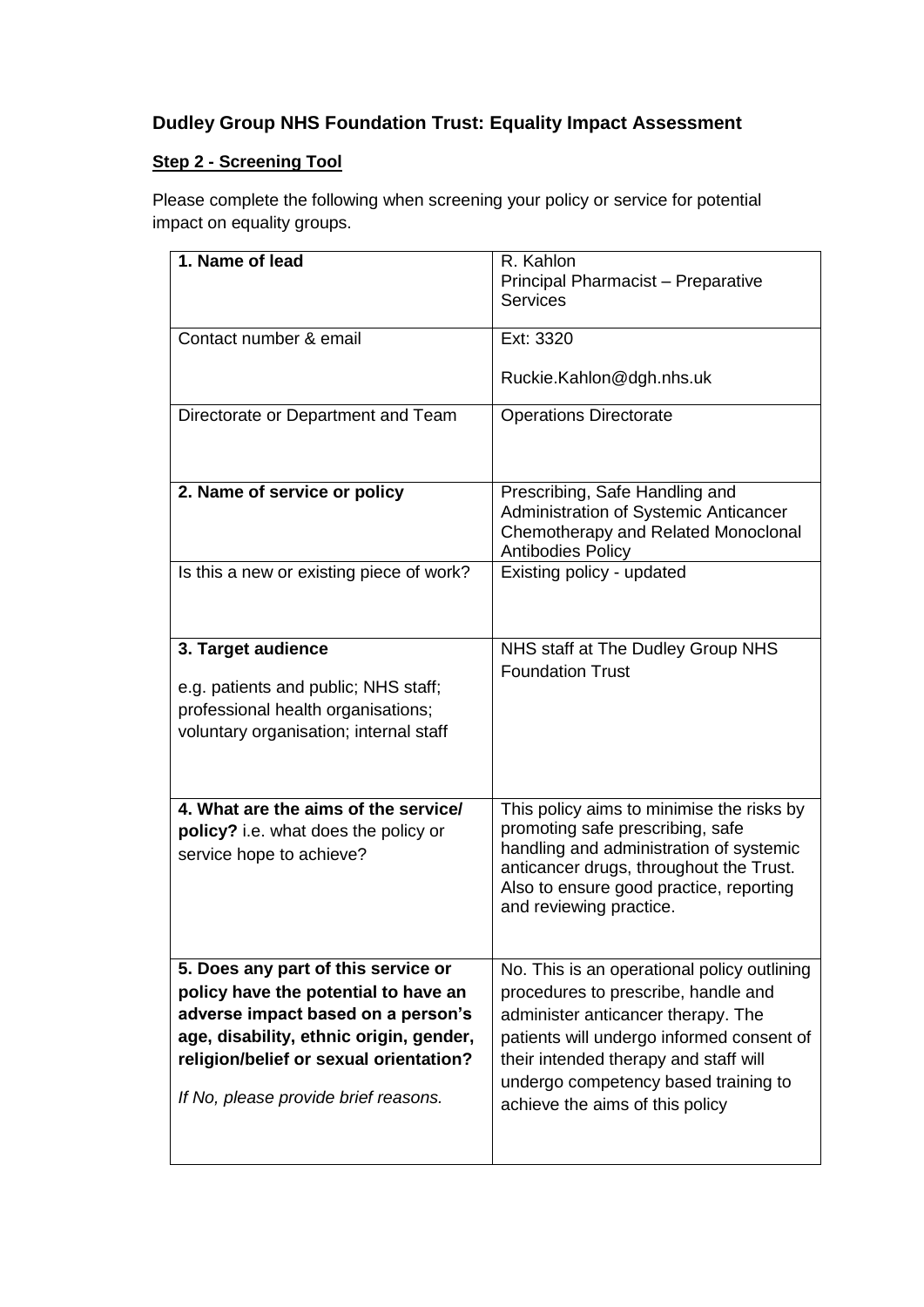## **Dudley Group NHS Foundation Trust: Equality Impact Assessment**

## **Step 2 - Screening Tool**

Please complete the following when screening your policy or service for potential impact on equality groups.

| 1. Name of lead                                                                                                                            | R. Kahlon<br>Principal Pharmacist - Preparative<br><b>Services</b>                                                                                                                                                                        |
|--------------------------------------------------------------------------------------------------------------------------------------------|-------------------------------------------------------------------------------------------------------------------------------------------------------------------------------------------------------------------------------------------|
| Contact number & email                                                                                                                     | Ext: 3320<br>Ruckie.Kahlon@dgh.nhs.uk                                                                                                                                                                                                     |
| Directorate or Department and Team                                                                                                         | <b>Operations Directorate</b>                                                                                                                                                                                                             |
| 2. Name of service or policy                                                                                                               | Prescribing, Safe Handling and<br>Administration of Systemic Anticancer<br>Chemotherapy and Related Monoclonal<br><b>Antibodies Policy</b>                                                                                                |
| Is this a new or existing piece of work?                                                                                                   | Existing policy - updated                                                                                                                                                                                                                 |
| 3. Target audience<br>e.g. patients and public; NHS staff;<br>professional health organisations;<br>voluntary organisation; internal staff | NHS staff at The Dudley Group NHS<br><b>Foundation Trust</b>                                                                                                                                                                              |
| 4. What are the aims of the service/<br>policy? i.e. what does the policy or<br>service hope to achieve?                                   | This policy aims to minimise the risks by<br>promoting safe prescribing, safe<br>handling and administration of systemic<br>anticancer drugs, throughout the Trust.<br>Also to ensure good practice, reporting<br>and reviewing practice. |
| 5. Does any part of this service or                                                                                                        | No. This is an operational policy outlining                                                                                                                                                                                               |
| policy have the potential to have an                                                                                                       | procedures to prescribe, handle and                                                                                                                                                                                                       |
| adverse impact based on a person's<br>age, disability, ethnic origin, gender,                                                              | administer anticancer therapy. The<br>patients will undergo informed consent of                                                                                                                                                           |
| religion/belief or sexual orientation?                                                                                                     | their intended therapy and staff will                                                                                                                                                                                                     |
| If No, please provide brief reasons.                                                                                                       | undergo competency based training to<br>achieve the aims of this policy                                                                                                                                                                   |